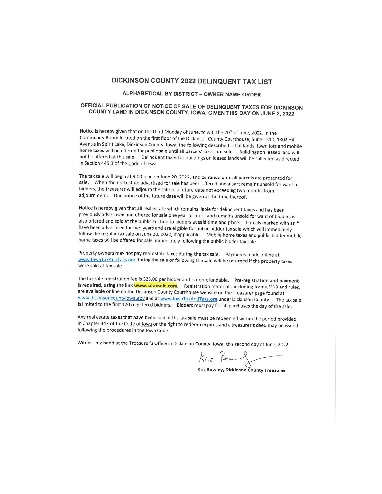# DICKINSON COUNTY 2022 DELINQUENT TAX LIST

# ALPHABETICAL BY DISTRICT - OWNER NAME ORDER

# OFFICIAL PUBLICATION OF NOTICE OF SALE OF DELINQUENT TAXES FOR DICKINSON COUNTY LAND IN DICKINSON COUNTY, IOWA, GIVEN THIS DAY ON JUNE 2, 2022

Notice is hereby given that on the third Monday of June, to wit, the 20<sup>th</sup> of June, 2022, in the Community Room located on the first floor of the Dickinson County Courthouse, Suite 1510, 1802 Hill Avenue in Spirit Lake, Dickinson County, Iowa, the following described list of lands, town lots and mobile home taxes will be offered for public sale until all parcels' taxes are sold. Buildings on leased land will not be offered at this sale. Delinquent taxes for buildings on leased lands will be collected as directed in Section 445.3 of the Code of Iowa.

The tax sale will begin at 9:00 a.m. on June 20, 2022, and continue until all parcels are presented for sale. When the real estate advertised for sale has been offered and a part remains unsold for want of bidders, the treasurer will adjourn the sale to a future date not exceeding two months from adjournment. Due notice of the future date will be given at the time thereof.

Notice is hereby given that all real estate which remains liable for delinquent taxes and has been previously advertised and offered for sale one year or more and remains unsold for want of bidders is also offered and sold at the public auction to bidders at said time and place. Parcels marked with an \* have been advertised for two years and are eligible for public bidder tax sale which will immediately follow the regular tax sale on June 20, 2022, if applicable. Mobile home taxes and public bidder mobile home taxes will be offered for sale immediately following the public bidder tax sale.

Property owners may not pay real estate taxes during the tax sale. Payments made online at www.lowaTaxAndTags.org during the sale or following the sale will be returned if the property taxes were sold at tax sale.

The tax sale registration fee is \$35.00 per bidder and is nonrefundable. Pre-registration and payment is required, using the link www.iataxsale.com. Registration materials, including forms, W-9 and rules, are available online on the Dickinson County Courthouse website on the Treasurer page found at www.dickinsoncountyiowa.gov and at www.lowaTaxAndTags.org under Dickinson County. The tax sale is limited to the first 120 registered bidders. Bidders must pay for all purchases the day of the sale.

Any real estate taxes that have been sold at the tax sale must be redeemed within the period provided in Chapter 447 of the Code of lowa or the right to redeem expires and a treasurer's deed may be issued following the procedures in the lowa Code.

Witness my hand at the Treasurer's Office in Dickinson County, Iowa, this second day of June, 2022.

Kris Rowy

Kris Rowley, Dickinson County Treasurer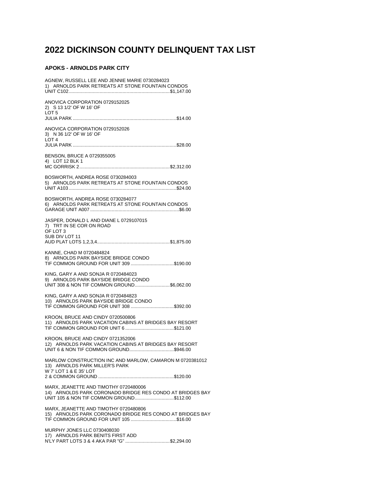# 2022 DICKINSON COUNTY DELINQUENT TAX LIST

# **APOKS - ARNOLDS PARK CITY**

| AGNEW, RUSSELL LEE AND JENNIE MARIE 0730284023<br>1) ARNOLDS PARK RETREATS AT STONE FOUNTAIN CONDOS                                            |
|------------------------------------------------------------------------------------------------------------------------------------------------|
| ANOVICA CORPORATION 0729152025<br>2) S 13 1/2' OF W 16' OF<br>LOT 5                                                                            |
| ANOVICA CORPORATION 0729152026<br>3) N 36 1/2' OF W 16' OF<br>LOT <sub>4</sub>                                                                 |
| BENSON, BRUCE A 0729355005<br>4) LOT 12 BLK 1                                                                                                  |
| BOSWORTH, ANDREA ROSE 0730284003<br>5) ARNOLDS PARK RETREATS AT STONE FOUNTAIN CONDOS                                                          |
| BOSWORTH, ANDREA ROSE 0730284077<br>6) ARNOLDS PARK RETREATS AT STONE FOUNTAIN CONDOS                                                          |
| JASPER, DONALD L AND DIANE L 0729107015<br>7) TRT IN SE COR ON ROAD<br>OF LOT 3<br>SUB DIV LOT 11                                              |
| KANNE, CHAD M 0720484824<br>8) ARNOLDS PARK BAYSIDE BRIDGE CONDO<br>TIF COMMON GROUND FOR UNIT 309 \$190.00                                    |
| KING, GARY A AND SONJA R 0720484023<br>9) ARNOLDS PARK BAYSIDE BRIDGE CONDO<br>UNIT 308 & NON TIF COMMON GROUND\$6,062.00                      |
| KING, GARY A AND SONJA R 0720484823<br>10) ARNOLDS PARK BAYSIDE BRIDGE CONDO<br>TIF COMMON GROUND FOR UNIT 308 \$392.00                        |
| KROON, BRUCE AND CINDY 0720500806<br>11) ARNOLDS PARK VACATION CABINS AT BRIDGES BAY RESORT                                                    |
| KROON, BRUCE AND CINDY 0721352006<br>12) ARNOLDS PARK VACATION CABINS AT BRIDGES BAY RESORT<br>UNIT 6 & NON TIF COMMON GROUND\$946.00          |
| MARLOW CONSTRUCTION INC AND MARLOW, CAMARON M 0720381012<br>13) ARNOLDS PARK MILLER'S PARK<br>W 7' LOT 1 & E 35' LOT                           |
| MARX, JEANETTE AND TIMOTHY 0720480006<br>14) ARNOLDS PARK CORONADO BRIDGE RES CONDO AT BRIDGES BAY<br>UNIT 105 & NON TIF COMMON GROUND\$112.00 |
| MARX, JEANETTE AND TIMOTHY 0720480806<br>15) ARNOLDS PARK CORONADO BRIDGE RES CONDO AT BRIDGES BAY<br>TIF COMMON GROUND FOR UNIT 105 \$16.00   |
| MURPHY JONES LLC 0730408030                                                                                                                    |

17) ARNOLDS PARK BENITS FIRST ADD<br>N'LY PART LOTS 3 & 4 AKA PAR "G" ..............................\$2,294.00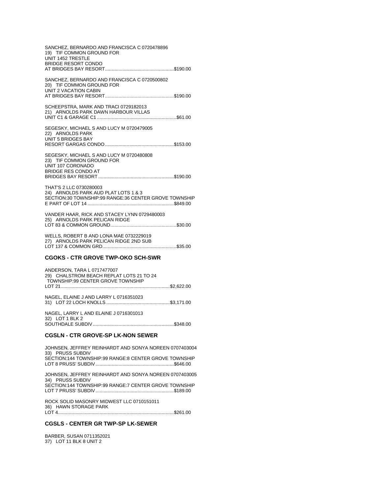| SANCHEZ, BERNARDO AND FRANCISCA C 0720478896<br>19) TIF COMMON GROUND FOR<br>UNIT 1452 TRESTLE<br><b>BRIDGE RESORT CONDO</b> |
|------------------------------------------------------------------------------------------------------------------------------|
| SANCHEZ, BERNARDO AND FRANCISCA C 0720500802<br>20) TIF COMMON GROUND FOR<br><b>UNIT 2 VACATION CABIN</b>                    |
| SCHEEPSTRA, MARK AND TRACI 0729182013<br>21) ARNOLDS PARK DAWN HARBOUR VILLAS                                                |
| SEGESKY, MICHAEL S AND LUCY M 0720479005<br>22) ARNOLDS PARK<br>UNIT 5 BRIDGES BAY                                           |
| SEGESKY, MICHAEL S AND LUCY M 0720480808<br>23) TIF COMMON GROUND FOR<br>UNIT 107 CORONADO<br><b>BRIDGE RES CONDO AT</b>     |
| THAT'S 2 LLC 0730280003<br>24) ARNOLDS PARK AUD PLAT LOTS 1 & 3<br>SECTION:30 TOWNSHIP:99 RANGE:36 CENTER GROVE TOWNSHIP     |
| VANDER HAAR, RICK AND STACEY LYNN 0729480003<br>25) ARNOLDS PARK PELICAN RIDGE                                               |

WELLS, ROBERT B AND LONA MAE 0732229019 27) ARNOLDS PARK PELICAN RIDGE 2ND SUB LOT 137 & COMMON GRD.......................................................\$35.00

# **CGOKS - CTR GROVE TWP-OKO SCH-SWR**

| ANDERSON, TARA L 0717477007<br>29) CHALSTROM BEACH REPLAT LOTS 21 TO 24<br>TOWNSHIP:99 CENTER GROVE TOWNSHIP |  |
|--------------------------------------------------------------------------------------------------------------|--|
|                                                                                                              |  |
| NAGEL, ELAINE J AND LARRY L 0716351023                                                                       |  |
| NAGEL. LARRY L AND ELAINE J 0716301013<br>32) LOT 1 BLK 2                                                    |  |
|                                                                                                              |  |

#### **CGSLN - CTR GROVE-SP LK-NON SEWER**

JOHNSEN, JEFFREY REINHARDT AND SONYA NOREEN 0707403004 33) PRUSS SUBDIV SECTION:144 TOWNSHIP:99 RANGE:8 CENTER GROVE TOWNSHIP LOT 8 PRUSS' SUBDIV..........................................................\$646.00 JOHNSEN, JEFFREY REINHARDT AND SONYA NOREEN 0707403005 34) PRUSS SUBDIV SECTION:144 TOWNSHIP:99 RANGE:7 CENTER GROVE TOWNSHIP LOT 7 PRUSS' SUBDIV..........................................................\$189.00 ROCK SOLID MASONRY MIDWEST LLC 0710151011

36) HAWN STORAGE PARK LOT 4......................................................................................\$261.00

## **CGSLS - CENTER GR TWP-SP LK-SEWER**

BARBER, SUSAN 0711352021 37) LOT 11 BLK 8 UNIT 2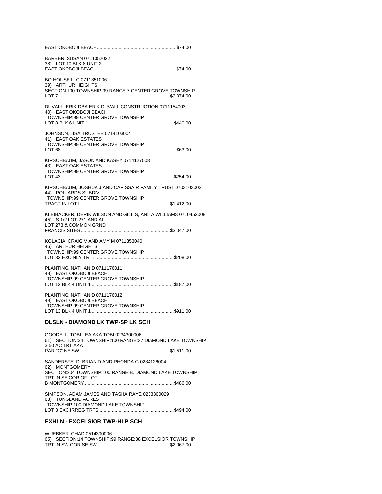| BARBER, SUSAN 0711352022<br>38) LOT 10 BLK 8 UNIT 2                                                                       |
|---------------------------------------------------------------------------------------------------------------------------|
| BO HOUSE LLC 0711351006<br>39) ARTHUR HEIGHTS<br>SECTION:100 TOWNSHIP:99 RANGE:7 CENTER GROVE TOWNSHIP                    |
| DUVALL, ERIK DBA ERIK DUVALL CONSTRUCTION 0711154003<br>40) EAST OKOBOJI BEACH<br>TOWNSHIP:99 CENTER GROVE TOWNSHIP       |
| JOHNSON, LISA TRUSTEE 0714103004<br>41) EAST OAK ESTATES<br>TOWNSHIP:99 CENTER GROVE TOWNSHIP                             |
| KIRSCHBAUM, JASON AND KASEY 0714127008<br>43) EAST OAK ESTATES<br>TOWNSHIP:99 CENTER GROVE TOWNSHIP                       |
| KIRSCHBAUM, JOSHUA J AND CARISSA R FAMILY TRUST 0703103003<br>44) POLLARDS SUBDIV<br>TOWNSHIP:99 CENTER GROVE TOWNSHIP    |
| KLEIBACKER, DERIK WILSON AND GILLIS, ANITA WILLIAMS 0710452008<br>45) S 1/2 LOT 271 AND ALL<br>LOT 273 & COMMON GRND      |
| KOLACIA, CRAIG V AND AMY M 0711353040<br>46) ARTHUR HEIGHTS<br>TOWNSHIP:99 CENTER GROVE TOWNSHIP                          |
| PLANTING, NATHAN D 0711176011<br>48) EAST OKOBOJI BEACH<br>TOWNSHIP:99 CENTER GROVE TOWNSHIP                              |
| PLANTING, NATHAN D 0711176012<br>49) EAST OKOBOJI BEACH<br>TOWNSHIP:99 CENTER GROVE TOWNSHIP                              |
| DLSLN - DIAMOND LK TWP-SP LK SCH                                                                                          |
| GOODELL, TOBI LEA AKA TOBI 0234300006<br>61) SECTION:34 TOWNSHIP:100 RANGE:37 DIAMOND LAKE TOWNSHIP<br>3.50 AC TRT AKA    |
| SANDERSFELD, BRIAN D AND RHONDA G 0234126004<br>62) MONTGOMERY<br>SECTION:204 TOWNSHIP:100 RANGE:B. DIAMOND LAKE TOWNSHIP |

TRT IN SE COR OF LOT B MONTGOMERY ..................................................................\$486.00 SIMPSON, ADAM JAMES AND TASHA RAYE 0233300029

63) TUNGLAND ACRES TOWNSHIP:100 DIAMOND LAKE TOWNSHIP LOT 3 EXC IRREG TRTS .......................................................\$494.00

# **EXHLN - EXCELSIOR TWP-HLP SCH**

WUEBKER, CHAD 0514300006 65) SECTION:14 TOWNSHIP:99 RANGE:38 EXCELSIOR TOWNSHIP TRT IN SW COR SE SW......................................................\$2,067.00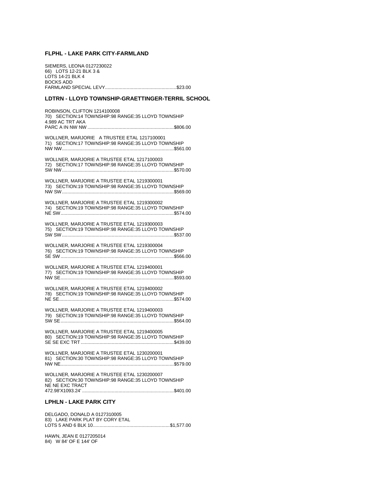#### **FLPHL - LAKE PARK CITY-FARMLAND**

SIEMERS, LEONA 0127230022 66) LOTS 12-21 BLK 3 & LOTS 14-21 BLK 4 BOCKS ADD FARMLAND SPECIAL LEVY.....................................................\$23.00

# **LDTRN - LLOYD TOWNSHIP-GRAETTINGER-TERRIL SCHOOL**

ROBINSON, CLIFTON 1214100008 70) SECTION:14 TOWNSHIP:98 RANGE:35 LLOYD TOWNSHIP 4.989 AC TRT AKA PARC A IN NW NW ................................................................\$806.00 WOLLNER, MARJORIE A TRUSTEE ETAL 1217100001 71) SECTION:17 TOWNSHIP:98 RANGE:35 LLOYD TOWNSHIP NW NW...................................................................................\$561.00 WOLLNER, MARJORIE A TRUSTEE ETAL 1217100003 72) SECTION:17 TOWNSHIP:98 RANGE:35 LLOYD TOWNSHIP SW NW...................................................................................\$570.00 WOLLNER, MARJORIE A TRUSTEE ETAL 1219300001 73) SECTION:19 TOWNSHIP:98 RANGE:35 LLOYD TOWNSHIP NW SW...................................................................................\$569.00 WOLLNER, MARJORIE A TRUSTEE ETAL 1219300002 74) SECTION:19 TOWNSHIP:98 RANGE:35 LLOYD TOWNSHIP NE SW....................................................................................\$574.00 WOLLNER, MARJORIE A TRUSTEE ETAL 1219300003 75) SECTION:19 TOWNSHIP:98 RANGE:35 LLOYD TOWNSHIP SW SW...................................................................................\$537.00 WOLLNER, MARJORIE A TRUSTEE ETAL 1219300004 76) SECTION:19 TOWNSHIP:98 RANGE:35 LLOYD TOWNSHIP SE SW....................................................................................\$566.00 WOLLNER, MARJORIE A TRUSTEE ETAL 1219400001 77) SECTION:19 TOWNSHIP:98 RANGE:35 LLOYD TOWNSHIP NW SE....................................................................................\$593.00 WOLLNER, MARJORIE A TRUSTEE ETAL 1219400002 78) SECTION:19 TOWNSHIP:98 RANGE:35 LLOYD TOWNSHIP NE SE.....................................................................................\$574.00 WOLLNER, MARJORIE A TRUSTEE ETAL 1219400003 79) SECTION:19 TOWNSHIP:98 RANGE:35 LLOYD TOWNSHIP SW SE....................................................................................\$564.00 WOLLNER, MARJORIE A TRUSTEE ETAL 1219400005 80) SECTION:19 TOWNSHIP:98 RANGE:35 LLOYD TOWNSHIP SE SE EXC TRT .....................................................................\$439.00 WOLLNER, MARJORIE A TRUSTEE ETAL 1230200001 81) SECTION:30 TOWNSHIP:98 RANGE:35 LLOYD TOWNSHIP NW NE....................................................................................\$579.00 WOLLNER, MARJORIE A TRUSTEE ETAL 1230200007 82) SECTION:30 TOWNSHIP:98 RANGE:35 LLOYD TOWNSHIP NE NE EXC TRACT 472.98'X1093.24' ....................................................................\$401.00 **LPHLN - LAKE PARK CITY** 

DELGADO, DONALD A 0127310005 83) LAKE PARK PLAT BY CORY ETAL LOTS 5 AND 6 BLK 10.........................................................\$1,577.00

HAWN, JEAN E 0127205014 84) W 84' OF E 144' OF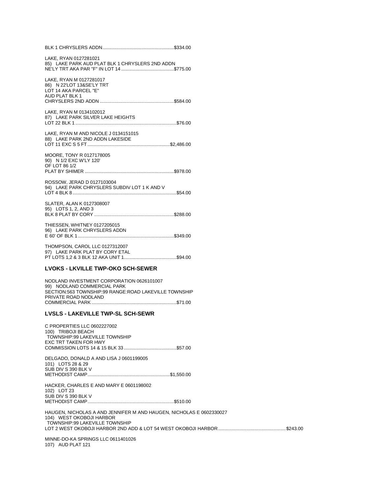|--|--|

LAKE, RYAN 0127281021 85) LAKE PARK AUD PLAT BLK 1 CHRYSLERS 2ND ADDN NE'LY TRT AKA PAR "F" IN LOT 14 .......................................\$775.00

LAKE, RYAN M 0127281017 86) N 22'LOT 13&SE'LY TRT LOT 14 AKA PARCEL "E" AUD PLAT BLK 1 CHRYSLERS 2ND ADDN .......................................................\$584.00

LAKE, RYAN M 0134102012 87) LAKE PARK SILVER LAKE HEIGHTS LOT 22 BLK 1 ...........................................................................\$76.00

LAKE, RYAN M AND NICOLE J 0134151015 88) LAKE PARK 2ND ADDN LAKESIDE LOT 11 EXC S 5 FT .............................................................\$2,486.00

MOORE, TONY R 0127178005 90) N 1/2 EXC W'LY 120' OF LOT 86 1/2 PLAT BY SHIMER ..................................................................\$978.00

ROSSOW, JERAD D 0127103004 94) LAKE PARK CHRYSLERS SUBDIV LOT 1 K AND V LOT 4 BLK 8 .............................................................................\$54.00

SLATER, ALAN K 0127308007 95) LOTS 1, 2, AND 3 BLK 8 PLAT BY CORY ...........................................................\$288.00

THIESSEN, WHITNEY 0127205015 96) LAKE PARK CHRYSLERS ADDN E 60' OF BLK 1 .......................................................................\$349.00

THOMPSON, CAROL LLC 0127312007 97) LAKE PARK PLAT BY CORY ETAL PT LOTS 1,2 & 3 BLK 12 AKA UNIT 1.......................................\$94.00

#### **LVOKS - LKVILLE TWP-OKO SCH-SEWER**

NODLAND INVESTMENT CORPORATION 0626101007 99) NODLAND COMMERCIAL PARK SECTION:563 TOWNSHIP:99 RANGE:ROAD LAKEVILLE TOWNSHIP PRIVATE ROAD NODLAND COMMERCIAL PARK ...............................................................\$71.00

#### **LVSLS - LAKEVILLE TWP-SL SCH-SEWR**

C PROPERTIES LLC 0602227002 100) TRIBOJI BEACH TOWNSHIP:99 LAKEVILLE TOWNSHIP EXC TRT TAKEN FOR HWY COMMISSION LOTS 14 & 15 BLK 33 .......................................\$57.00

DELGADO, DONALD A AND LISA J 0601199005 101) LOTS 28 & 29 SUB DIV S 390 BLK V METHODIST CAMP.............................................................\$1,550.00

HACKER, CHARLES E AND MARY E 0601198002 102) LOT 23 SUB DIV S 390 BLK V METHODIST CAMP................................................................\$510.00

HAUGEN, NICHOLAS A AND JENNIFER M AND HAUGEN, NICHOLAS E 0602330027 104) WEST OKOBOJI HARBOR TOWNSHIP:99 LAKEVILLE TOWNSHIP LOT 2 WEST OKOBOJI HARBOR 2ND ADD & LOT 54 WEST OKOBOJI HARBOR..................................................\$243.00

MINNE-DO-KA SPRINGS LLC 0611401026 107) AUD PLAT 121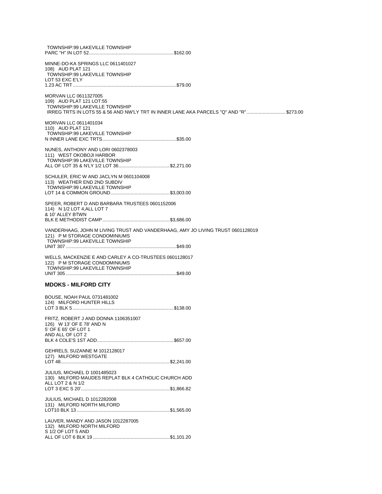| TOWNSHIP:99 LAKEVILLE TOWNSHIP                                                                                                                                                |
|-------------------------------------------------------------------------------------------------------------------------------------------------------------------------------|
| MINNE-DO-KA SPRINGS LLC 0611401027<br>108) AUD PLAT 121<br>TOWNSHIP:99 LAKEVILLE TOWNSHIP<br>LOT 53 EXC E'LY                                                                  |
| MORVAN LLC 0611327005<br>109) AUD PLAT 121 LOT:55<br>TOWNSHIP:99 LAKEVILLE TOWNSHIP<br>IRREG TRTS IN LOTS 55 & 56 AND NW'LY TRT IN INNER LANE AKA PARCELS "Q" AND "R"\$273.00 |
| MORVAN LLC 0611401034<br>110) AUD PLAT 121<br>TOWNSHIP:99 LAKEVILLE TOWNSHIP                                                                                                  |
| NUNES, ANTHONY AND LORI 0602378003<br>111) WEST OKOBOJI HARBOR<br>TOWNSHIP:99 LAKEVILLE TOWNSHIP                                                                              |
| SCHULER, ERIC W AND JACLYN M 0601104008<br>113) WEATHER END 2ND SUBDIV<br>TOWNSHIP:99 LAKEVILLE TOWNSHIP                                                                      |
| SPEER, ROBERT D AND BARBARA TRUSTEES 0601152006<br>114) N 1/2 LOT 4, ALL LOT 7<br>& 10' ALLEY BTWN                                                                            |
| VANDERHAAG, JOHN M LIVING TRUST AND VANDERHAAG, AMY JO LIVING TRUST 0601128019<br>121) P M STORAGE CONDOMINIUMS<br>TOWNSHIP:99 LAKEVILLE TOWNSHIP                             |
| WELLS, MACKENZIE E AND CARLEY A CO-TRUSTEES 0601128017<br>122) P M STORAGE CONDOMINIUMS<br>TOWNSHIP:99 LAKEVILLE TOWNSHIP                                                     |
| <b>MDOKS - MILFORD CITY</b>                                                                                                                                                   |
| BOUSE, NOAH PAUL 0731481002<br>124) MILFORD HUNTER HILLS                                                                                                                      |
| FRITZ, ROBERT J AND DONNA 1106351007<br>126) W 13' OF E 78' AND N<br>5' OF E 65' OF LOT 1<br>AND ALL OF LOT 2                                                                 |
| GEHRELS, SUZANNE M 1012128017<br>127) MILFORD WESTGATE                                                                                                                        |
| JULIUS, MICHAEL D 1001485023<br>130) MILFORD MAUDES REPLAT BLK 4 CATHOLIC CHURCH ADD<br>ALL LOT 2 & N 1/2                                                                     |
| <b>JULIUS, MICHAEL D 1012282008</b><br>131) MILFORD NORTH MILFORD                                                                                                             |
| LAUVER, MANDY AND JASON 1012287005<br>132) MILFORD NORTH MILFORD<br>S 1/2 OF LOT 5 AND                                                                                        |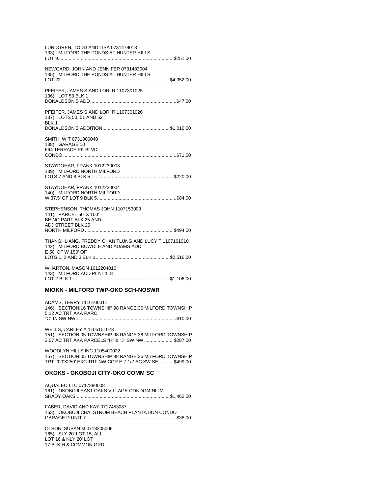| LUNDGREN, TODD AND LISA 0731479013<br>133) MILFORD THE PONDS AT HUNTER HILLS                                      |
|-------------------------------------------------------------------------------------------------------------------|
| NEWGARD, JOHN AND JENNIFER 0731483004<br>135) MILFORD THE PONDS AT HUNTER HILLS                                   |
| PFEIFER, JAMES S AND LORI R 1107301025<br>136) LOT 53 BLK 1                                                       |
| PFEIFER, JAMES S AND LORI R 1107301026<br>137) LOTS 50, 51 AND 52<br>BLK 1                                        |
| SMITH, W T 0731306040<br>138) GARAGE 10<br>664 TERRACE PK BLVD                                                    |
| STAYDOHAR, FRANK 1012230003<br>139) MILFORD NORTH MILFORD                                                         |
| STAYDOHAR, FRANK 1012230004<br>140) MILFORD NORTH MILFORD                                                         |
| STEPHENSON, THOMAS JOHN 1107153009<br>141) PARCEL 50' X 100'<br><b>BEING PART BLK 25 AND</b><br>ADJ STREET BLK 25 |
| THANGHLIANG, FREDDY CHAN TLUNG AND LUCY T 1107101010<br>142) MILFORD BOWDLE AND ADAMS ADD<br>E 50' OF W 150' OF   |
| WHARTON, MASON 1012204010<br>143) MILFORD AUD PLAT 118                                                            |
| <b>MIOKN - MILFORD TWP-OKO SCH-NOSWR</b>                                                                          |

ADAMS, TERRY 1116100011 146) SECTION:16 TOWNSHIP:98 RANGE:36 MILFORD TOWNSHIP 5.12 AC TRT AKA PARC 

WELLS, CARLEY A 1105151023 151) SECTION:05 TOWNSHIP:98 RANGE:36 MILFORD TOWNSHIP 3.07 AC TRT AKA PARCELS "H" & "J" SW NW .......................\$287.00

WOODLYN HILLS INC 1105400022 157) SECTION:05 TOWNSHIP:98 RANGE:36 MILFORD TOWNSHIP TRT 200'X250' EXC TRT NW COR E 7 1/2 AC SW SE ..........\$499.00

# OKOKS - OKOBOJI CITY-OKO COMM SC

AQUALEO LLC 0717380008 161) OKOBOJI EAST OAKS VILLAGE CONDOMINIUM 

FABER, DAVID AND KAY 0717453087 

OLSON, SUSAN M 0718305006 165) SLY 20' LOT 15, ALL LOT 16 & NLY 20' LOT 17 BLK H & COMMON GRD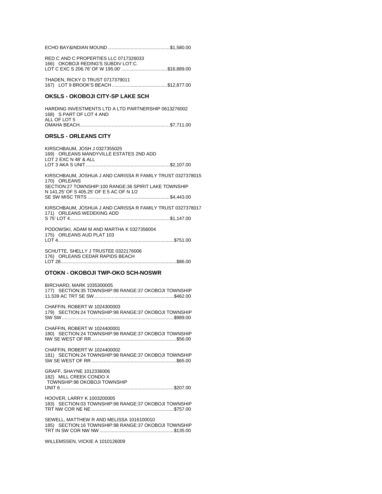|--|--|--|--|--|--|--|

RED C AND C PROPERTIES LLC 0717326033 166) OKOBOJI REDING'S SUBDIV LOT:C. LOT C EXC S 206.76' OF W 195.00'.................................\$16,889.00

THADEN, RICKY D TRUST 0717379011 

# **OKSLS - OKOBOJI CITY-SP LAKE SCH**

HARDING INVESTMENTS LTD A LTD PARTNERSHIP 0613276002 168) S PART OF LOT 4 AND ALL OF LOT 5 

#### **ORSLS - ORLEANS CITY**

KIRSCHBAUM, JOSH J 0327355025 169) ORLEANS MANDYVILLE ESTATES 2ND ADD LOT 2 EXC N 48' & ALL KIRSCHBAUM, JOSHUA J AND CARISSA R FAMILY TRUST 0327378015 170) ORLEANS SECTION:27 TOWNSHIP:100 RANGE:36 SPIRIT LAKE TOWNSHIP N 141.25' OF S 405.25' OF E 5 AC OF N 1/2 KIRSCHBAUM. JOSHUA J AND CARISSA R FAMILY TRUST 0327378017 171) ORLEANS WEDEKING ADD PODOWSKI, ADAM M AND MARTHA K 0327356004 175) ORLEANS AUD PLAT 103 

SCHUTTE, SHELLY J TRUSTEE 0322176006 176) ORLEANS CEDAR RAPIDS BEACH 

#### OTOKN - OKOBOJI TWP-OKO SCH-NOSWR

BIRCHARD, MARK 1035300005 177) SECTION:35 TOWNSHIP:98 RANGE:37 OKOBOJI TOWNSHIP 

CHAFFIN, ROBERT W 1024300003 179) SECTION:24 TOWNSHIP:98 RANGE:37 OKOBOJI TOWNSHIP 

CHAFFIN, ROBERT W 1024400001 180) SECTION:24 TOWNSHIP:98 RANGE:37 OKOBOJI TOWNSHIP 

CHAFFIN, ROBERT W 1024400002 181) SECTION:24 TOWNSHIP:98 RANGE:37 OKOBOJI TOWNSHIP 

GRAFF, SHAYNE 1012336006 182) MILL CREEK CONDO X TOWNSHIP:98 OKOBOJI TOWNSHIP 

HOOVER, LARRY K 1003200005 183) SECTION:03 TOWNSHIP:98 RANGE:37 OKOBOJI TOWNSHIP 

SEWELL, MATTHEW R AND MELISSA 1016100010 185) SECTION:16 TOWNSHIP:98 RANGE:37 OKOBOJI TOWNSHIP 

WILLEMSSEN, VICKIE A 1010126009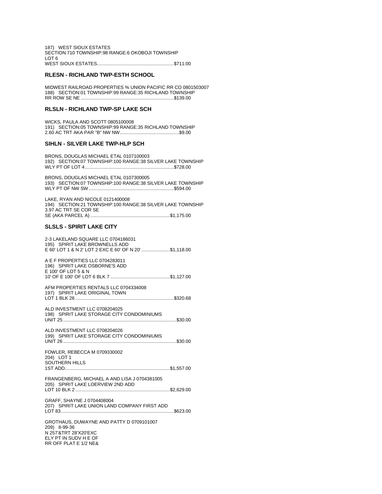187) WEST SIOUX ESTATES SECTION:710 TOWNSHIP:98 RANGE:6 OKOBOJI TOWNSHIP LOT 6 WEST SIOUX ESTATES.........................................................\$711.00

#### **RLESN - RICHLAND TWP-ESTH SCHOOL**

MIDWEST RAILROAD PROPERTIES % UNION PACIFIC RR CO 0801503007 188) SECTION:01 TOWNSHIP:99 RANGE:35 RICHLAND TOWNSHIP RR ROW SE NE .....................................................................\$139.00

#### **RLSLN - RICHLAND TWP-SP LAKE SCH**

WICKS, PAULA AND SCOTT 0805100008 191) SECTION:05 TOWNSHIP:99 RANGE:35 RICHLAND TOWNSHIP 2.60 AC TRT AKA PAR "B" NW NW............................................\$9.00

#### **SIHLN - SILVER LAKE TWP-HLP SCH**

BRONS, DOUGLAS MICHAEL ETAL 0107100003 192) SECTION:07 TOWNSHIP:100 RANGE:38 SILVER LAKE TOWNSHIP WLY PT OF LOT 4..................................................................\$728.00

BRONS, DOUGLAS MICHAEL ETAL 0107300005 193) SECTION:07 TOWNSHIP:100 RANGE:38 SILVER LAKE TOWNSHIP WLY PT OF NW SW ...............................................................\$594.00

LAKE, RYAN AND NICOLE 0121400008 194) SECTION:21 TOWNSHIP:100 RANGE:38 SILVER LAKE TOWNSHIP 3.97 AC TRT SE COR SE SE (AKA PARCEL A) ...........................................................\$1,175.00

#### **SLSLS - SPIRIT LAKE CITY**

RR OFF PLAT E 1/2 NE&

| 2-3 LAKELAND SQUARE LLC 0704186031<br>195) SPIRIT LAKE BROWNELLS ADD<br>E 60' LOT 1 & N 2' LOT 2 EXC E 60' OF N 20' \$1,118.00 |
|--------------------------------------------------------------------------------------------------------------------------------|
| A E F PROPERTIES LLC 0704283011<br>196) SPIRIT LAKE OSBORNE'S ADD<br>E 100' OF LOT 5 & N                                       |
| AFM PROPERTIES RENTALS LLC 0704334008<br>197) SPIRIT LAKE ORIGINAL TOWN                                                        |
| ALD INVESTMENT LLC 0708204025<br>198) SPIRIT LAKE STORAGE CITY CONDOMINIUMS                                                    |
| ALD INVESTMENT LLC 0708204026<br>199) SPIRIT LAKE STORAGE CITY CONDOMINIUMS                                                    |
| FOWLER, REBECCA M 0709330002<br>204) LOT 1<br>SOUTHERN HILLS                                                                   |
| FRANGENBERG, MICHAEL A AND LISA J 0704381005<br>205) SPIRIT LAKE LOERVIEW 2ND ADD                                              |
| GRAFF, SHAYNE J 0704408004<br>207) SPIRIT LAKE UNION LAND COMPANY FIRST ADD                                                    |
| GROTHAUS, DUWAYNE AND PATTY D 0709101007<br>209) 8-99-36<br>N 257'&TRT 28'X20'EXC<br>ELY PT IN SUDV H E OF                     |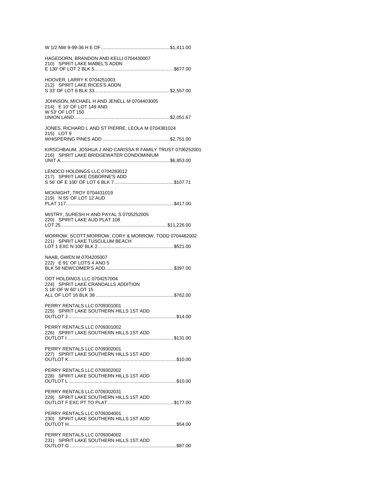| HAGEDORN, BRANDON AND KELLI 0704430007<br>210) SPIRIT LAKE MABEL'S ADDN                                |
|--------------------------------------------------------------------------------------------------------|
| HOOVER, LARRY K 0704251003<br>212) SPIRIT LAKE RICES'S ADDN                                            |
| JOHNSON, MICHAEL H AND JENELL M 0704403005<br>214) E 10' OF LOT 149 AND<br>W 53' OF LOT 150            |
| JONES, RICHARD L AND ST PIERRE, LEOLA M 0704381024<br>215) LOT 9                                       |
|                                                                                                        |
| KIRSCHBAUM, JOSHUA J AND CARISSA R FAMILY TRUST 0706252001<br>216) SPIRIT LAKE BRIDGEWATER CONDOMINIUM |
| LENDCO HOLDINGS LLC 0704283012<br>217) SPIRIT LAKE OSBORNE'S ADD                                       |
| MCKNIGHT, TROY 0704431019<br>219) N 55' OF LOT 12 AUD                                                  |
|                                                                                                        |
| MISTRY, SURESH H AND PAYAL S 0705252005<br>220) SPIRIT LAKE AUD PLAT 108                               |
| MORROW, SCOTT;MORROW, CORY & MORROW, TODD 0704482002<br>221) SPIRIT LAKE TUSCULUM BEACH                |
| NAAB, GWEN M 0704205007<br>222) E 91' OF LOTS 4 AND 5                                                  |
| ODT HOLDINGS LLC 0704257004<br>224) SPIRIT LAKE CRANDALLS ADDITION<br>S 18' OF W 60' LOT 15            |
| PERRY RENTALS LLC 0709301001<br>225) SPIRIT LAKE SOUTHERN HILLS 1ST ADD                                |
| PERRY RENTALS LLC 0709301002<br>226) SPIRIT LAKE SOUTHERN HILLS 1ST ADD                                |
| PERRY RENTALS LLC 0709302001<br>227) SPIRIT LAKE SOUTHERN HILLS 1ST ADD                                |
| PERRY RENTALS LLC 0709302002<br>228) SPIRIT LAKE SOUTHERN HILLS 1ST ADD                                |
| PERRY RENTALS LLC 0709302031<br>229) SPIRIT LAKE SOUTHERN HILLS 1ST ADD                                |
| PERRY RENTALS LLC 0709304001<br>230) SPIRIT LAKE SOUTHERN HILLS 1ST ADD                                |
| PERRY RENTALS LLC 0709304002<br>231) SPIRIT LAKE SOUTHERN HILLS 1ST ADD                                |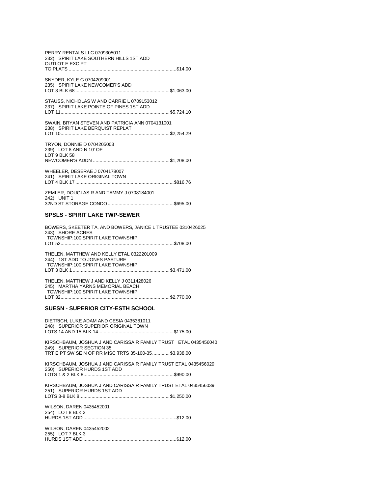| PERRY RENTALS LLC 0709305011<br>232) SPIRIT LAKE SOUTHERN HILLS 1ST ADD<br><b>OUTLOT E EXC PT</b> |  |
|---------------------------------------------------------------------------------------------------|--|
| SNYDER, KYLE G 0704209001<br>235) SPIRIT LAKE NEWCOMER'S ADD                                      |  |
| STAUSS, NICHOLAS W AND CARRIE L 0709153012<br>237) SPIRIT LAKE POINTE OF PINES 1ST ADD            |  |
| SWAIN, BRYAN STEVEN AND PATRICIA ANN 0704131001<br>238) SPIRIT LAKE BERQUIST REPLAT               |  |
| TRYON, DONNIE D 0704205003<br>239) LOT 8 AND N 10' OF<br>LOT 9 BLK 58                             |  |
| WHEELER, DESERAE J 0704178007<br>241) SPIRIT LAKE ORIGINAL TOWN                                   |  |
| ZEMLER, DOUGLAS R AND TAMMY J 0708184001<br>242) UNIT 1                                           |  |

#### **SPSLS - SPIRIT LAKE TWP-SEWER**

BOWERS, SKEETER TA, AND BOWERS, JANICE L TRUSTEE 0310426025 243) SHORE ACRES TOWNSHIP:100 SPIRIT LAKE TOWNSHIP 

THELEN, MATTHEW AND KELLY ETAL 0322201009<br>244) 1ST ADD TO JONES PASTURE TOWNSHIP:100 SPIRIT LAKE TOWNSHIP 

THELEN, MATTHEW J AND KELLY J 0311428026 245) MARTHA YARNS MEMORIAL BEACH TOWNSHIP:100 SPIRIT LAKE TOWNSHIP 

#### **SUESN - SUPERIOR CITY-ESTH SCHOOL**

| DIETRICH, LUKE ADAM AND CESIA 0435381011<br>248) SUPERIOR SUPERIOR ORIGINAL TOWN               |  |
|------------------------------------------------------------------------------------------------|--|
|                                                                                                |  |
| KIRSCHBAUM, JOSHUA J AND CARISSA R FAMILY TRUST ETAL 0435456040<br>249) SUPERIOR SECTION 35    |  |
| TRT E PT SW SE N OF RR MISC TRTS 35-100-35\$3,938.00                                           |  |
| KIRSCHBAUM, JOSHUA J AND CARISSA R FAMILY TRUST ETAL 0435456029<br>250) SUPERIOR HURDS 1ST ADD |  |
|                                                                                                |  |
| KIRSCHBAUM, JOSHUA J AND CARISSA R FAMILY TRUST ETAL 0435456039<br>251) SUPERIOR HURDS 1ST ADD |  |
|                                                                                                |  |
| WILSON, DAREN 0435452001<br>254) LOT 8 BLK 3                                                   |  |
|                                                                                                |  |
| WILSON, DAREN 0435452002<br>255) LOT 7 BLK 3                                                   |  |
|                                                                                                |  |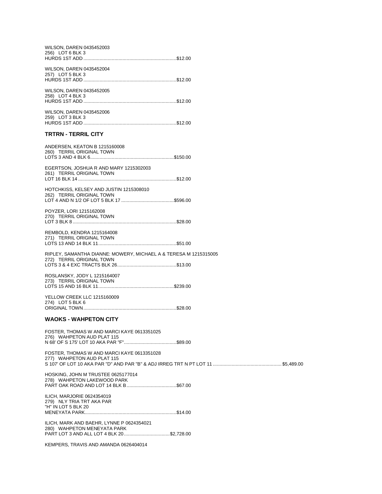| WILSON, DAREN 0435452003<br>256) LOT 6 BLK 3                                                                           |  |
|------------------------------------------------------------------------------------------------------------------------|--|
| WILSON, DAREN 0435452004<br>257) LOT 5 BLK 3                                                                           |  |
| WILSON, DAREN 0435452005<br>258) LOT 4 BLK 3                                                                           |  |
| WILSON, DAREN 0435452006<br>259) LOT 3 BLK 3                                                                           |  |
| <b>TRTRN - TERRIL CITY</b>                                                                                             |  |
| ANDERSEN, KEATON B 1215160008<br>260) TERRIL ORIGINAL TOWN                                                             |  |
| EGERTSON, JOSHUA R AND MARY 1215302003<br>261) TERRIL ORIGINAL TOWN                                                    |  |
| HOTCHKISS, KELSEY AND JUSTIN 1215308010<br>262) TERRIL ORIGINAL TOWN                                                   |  |
| POYZER, LORI 1215162008<br>270) TERRIL ORIGINAL TOWN                                                                   |  |
| REMBOLD, KENDRA 1215164008<br>271) TERRIL ORIGINAL TOWN                                                                |  |
| RIPLEY, SAMANTHA DIANNE: MOWERY, MICHAEL A & TERESA M 1215315005<br>272) TERRIL ORIGINAL TOWN                          |  |
| ROSLANSKY, JODY L 1215164007<br>273) TERRIL ORIGINAL TOWN                                                              |  |
| YELLOW CREEK LLC 1215160009<br>274) LOT 5 BLK 6                                                                        |  |
| <b>WAOKS - WAHPETON CITY</b>                                                                                           |  |
| FOSTER, THOMAS W AND MARCI KAYE 0613351025<br>276) WAHPETON AUD PLAT 115                                               |  |
| FOSTER, THOMAS W AND MARCI KAYE 0613351028<br>277) WAHPETON AUD PLAT 115                                               |  |
| HOSKING, JOHN M TRUSTEE 0625177014<br>278) WAHPETON LAKEWOOD PARK                                                      |  |
| ILICH, MARJORIE 0624354019<br>279) NLY TRIA TRT AKA PAR<br>"H" IN LOT 5 BLK 20                                         |  |
| ILICH, MARK AND BAEHR, LYNNE P 0624354021<br>280) WAHPETON MENEYATA PARK<br>PART LOT 3 AND ALL LOT 4 BLK 20 \$2,728.00 |  |
| KEMPERS, TRAVIS AND AMANDA 0626404014                                                                                  |  |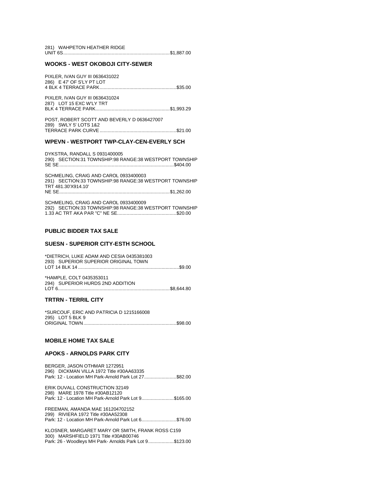| 281) WAHPETON HEATHER RIDGE |  |
|-----------------------------|--|
|                             |  |

#### **WOOKS - WEST OKOBOJI CITY-SEWER**

| PIXLER, IVAN GUY III 0636431022<br>286) E 47' OF S'LY PT LOT |  |
|--------------------------------------------------------------|--|
| PIXLER. IVAN GUY III 0636431024<br>287) LOT 15 EXC W'LY TRT  |  |

POST, ROBERT SCOTT AND BEVERLY D 0636427007 289) SWLY 5' LOTS 1&2 

#### WPEVN - WESTPORT TWP-CLAY-CEN-EVERLY SCH

DYKSTRA, RANDALL S 0931400005 290) SECTION:31 TOWNSHIP:98 RANGE:38 WESTPORT TOWNSHIP 

SCHMELING, CRAIG AND CAROL 0933400003 291) SECTION:33 TOWNSHIP:98 RANGE:38 WESTPORT TOWNSHIP TRT 481.30'X914.10' 

SCHMELING, CRAIG AND CAROL 0933400009 292) SECTION:33 TOWNSHIP:98 RANGE:38 WESTPORT TOWNSHIP 

## **PUBLIC BIDDER TAX SALE**

#### **SUESN - SUPERIOR CITY-ESTH SCHOOL**

\*DIETRICH, LUKE ADAM AND CESIA 0435381003 293) SUPERIOR SUPERIOR ORIGINAL TOWN 

\*HAMPLE, COLT 0435353011 294) SUPERIOR HURDS 2ND ADDITION 

#### **TRTRN - TERRIL CITY**

\*SURCOUF, ERIC AND PATRICIA D 1215166008 295) LOT 5 BLK 9 

#### **MOBILE HOME TAX SALE**

#### **APOKS - ARNOLDS PARK CITY**

BERGER, JASON OTHMAR 1272951 296) DICKMAN VILLA 1972 Title #30AA63335 Park: 12 - Location MH Park-Arnold Park Lot 27........................\$82.00

ERIK DUVALL CONSTRUCTION 32149 298) MARE 1978 Title #30AB12120 Park: 12 - Location MH Park-Arnold Park Lot 9........................\$165.00

FREEMAN, AMANDA MAE 161204702152 299) RIVIERA 1972 Title #30AA52308 Park: 12 - Location MH Park-Arnold Park Lot 6..........................\$76.00

KLOSNER. MARGARET MARY OR SMITH. FRANK ROSS C159 300) MARSHFIELD 1971 Title #30AB00746 Park: 26 - Woodleys MH Park- Arnolds Park Lot 9..................\$123.00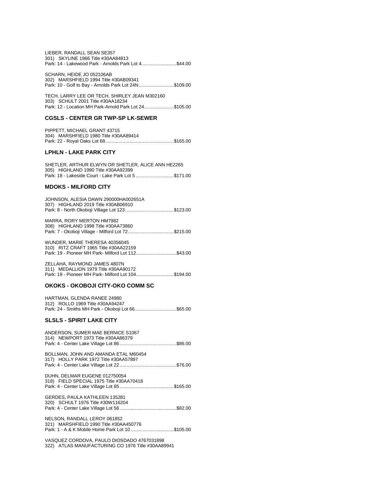| LIEBER, RANDALL SEAN SE357                           |  |
|------------------------------------------------------|--|
| 301) SKYLINE 1966 Title #30AA84813                   |  |
| Park: 14 - Lakewood Park - Arnolds Park Lot 4\$44.00 |  |

SCHARN, HEIDE JO 052106AB 302) MARSHFIELD 1994 Title #30AB09341 Park: 10 - Golf to Bay - Arnolds Park Lot 24N..........................\$109.00

TECH, LARRY LEE OR TECH, SHIRLEY JEAN M302160 303) SCHULT 2001 Title #30AA18234 Park: 12 - Location MH Park-Arnold Park Lot 24......................\$105.00

#### **CGSLS - CENTER GR TWP-SP LK-SEWER**

| PIPPETT, MICHAEL GRANT 43715          |  |
|---------------------------------------|--|
| 304) MARSHFIELD 1980 Title #30AA89414 |  |
|                                       |  |

#### **LPHLN - LAKE PARK CITY**

| SHETLER. ARTHUR ELWYN OR SHETLER. ALICE ANN HE2265   |  |
|------------------------------------------------------|--|
| 305) HIGHLAND 1990 Title #30AA92399                  |  |
| Park: 18 - Lakeside Court - Lake Park Lot 5 \$171.00 |  |

#### **MDOKS - MILFORD CITY**

| JOHNSON, ALESIA DAWN 290000HA002651A |  |
|--------------------------------------|--|
| 307) HIGHLAND 2019 Title #30AB06910  |  |
|                                      |  |
|                                      |  |

| MARRA, RORY MERTON HM7982                          |
|----------------------------------------------------|
| 308) HIGHLAND 1998 Title #30AA73860                |
| Park: 7 - Okoboji Village - Milford Lot 72\$215.00 |

WUNDER, MARIE THERESA 40356045 310) RITZ CRAFT 1965 Title #30AA22159 Park: 19 - Pioneer MH Park- Milford Lot 112.............................\$43.00

ZELLAHA, RAYMOND JAMES 4807N 311) MEDALLION 1979 Title #30AA90172 Park: 19 - Pioneer MH Park- Milford Lot 104............................\$194.00

#### **OKOKS - OKOBOJI CITY-OKO COMM SC**

| HARTMAN, GLENDA RANEE 24980                       |  |
|---------------------------------------------------|--|
| 312) ROLLO 1969 Title #30AA94247                  |  |
| Park: 24 - Smiths MH Park - Okoboji Lot 66\$65.00 |  |

#### **SLSLS - SPIRIT LAKE CITY**

| ANDERSON, SUMER MAE BERNICE S1067<br>314) NEWPORT 1973 Title #30AA86379                                                   |
|---------------------------------------------------------------------------------------------------------------------------|
| BOLLMAN, JOHN AND AMANDA ETAL M60454<br>317) HOLLY PARK 1972 Title #30AA57897                                             |
| DUHN, DELMAR EUGENE 012750054<br>318) FIELD SPECIAL 1975 Title #30AA70418                                                 |
| GERDES, PAULA KATHLEEN 135281<br>320) SCHULT 1976 Title #30W116204                                                        |
| NELSON, RANDALL LEROY 061852<br>321) MARSHFIELD 1990 Title #30AA450776<br>Park: 1 - A & K Mobile Home Park Lot 10\$105.00 |

VASQUEZ CORDOVA, PAULO DIOSDADO 4767031898 322) ATLAS MANUFACTURING CO 1976 Title #30AA89941